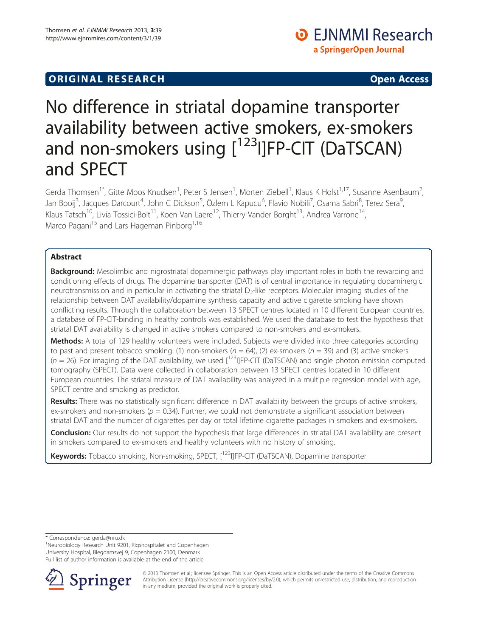# No difference in striatal dopamine transporter availability between active smokers, ex-smokers and non-smokers using [<sup>123</sup>I]FP-CIT (DaTSCAN) and SPECT

Gerda Thomsen<sup>1\*</sup>, Gitte Moos Knudsen<sup>1</sup>, Peter S Jensen<sup>1</sup>, Morten Ziebell<sup>1</sup>, Klaus K Holst<sup>1,17</sup>, Susanne Asenbaum<sup>2</sup> , Jan Booij<sup>3</sup>, Jacques Darcourt<sup>4</sup>, John C Dickson<sup>5</sup>, Özlem L Kapucu<sup>6</sup>, Flavio Nobili<sup>7</sup>, Osama Sabri<sup>8</sup>, Terez Sera<sup>s</sup> , Klaus Tatsch<sup>10</sup>, Livia Tossici-Bolt<sup>11</sup>, Koen Van Laere<sup>12</sup>, Thierry Vander Borght<sup>13</sup>, Andrea Varrone<sup>14</sup>, Marco Pagani<sup>15</sup> and Lars Hageman Pinborg<sup>1,16</sup>

## Abstract

Background: Mesolimbic and nigrostriatal dopaminergic pathways play important roles in both the rewarding and conditioning effects of drugs. The dopamine transporter (DAT) is of central importance in regulating dopaminergic neurotransmission and in particular in activating the striatal D<sub>2</sub>-like receptors. Molecular imaging studies of the relationship between DAT availability/dopamine synthesis capacity and active cigarette smoking have shown conflicting results. Through the collaboration between 13 SPECT centres located in 10 different European countries, a database of FP-CIT-binding in healthy controls was established. We used the database to test the hypothesis that striatal DAT availability is changed in active smokers compared to non-smokers and ex-smokers.

Methods: A total of 129 healthy volunteers were included. Subjects were divided into three categories according to past and present tobacco smoking: (1) non-smokers ( $n = 64$ ), (2) ex-smokers ( $n = 39$ ) and (3) active smokers  $(n = 26)$ . For imaging of the DAT availability, we used  $[1^{23}$ ]FP-CIT (DaTSCAN) and single photon emission computed tomography (SPECT). Data were collected in collaboration between 13 SPECT centres located in 10 different European countries. The striatal measure of DAT availability was analyzed in a multiple regression model with age, SPECT centre and smoking as predictor.

Results: There was no statistically significant difference in DAT availability between the groups of active smokers, ex-smokers and non-smokers ( $p = 0.34$ ). Further, we could not demonstrate a significant association between striatal DAT and the number of cigarettes per day or total lifetime cigarette packages in smokers and ex-smokers.

Conclusion: Our results do not support the hypothesis that large differences in striatal DAT availability are present in smokers compared to ex-smokers and healthy volunteers with no history of smoking.

Keywords: Tobacco smoking, Non-smoking, SPECT, [<sup>123</sup>I]FP-CIT (DaTSCAN), Dopamine transporter

<sup>1</sup>Neurobiology Research Unit 9201, Rigshospitalet and Copenhagen University Hospital, Blegdamsvej 9, Copenhagen 2100, Denmark Full list of author information is available at the end of the article



© 2013 Thomsen et al.; licensee Springer. This is an Open Access article distributed under the terms of the Creative Commons Attribution License [\(http://creativecommons.org/licenses/by/2.0\)](http://creativecommons.org/licenses/by/2.0), which permits unrestricted use, distribution, and reproduction in any medium, provided the original work is properly cited.

<sup>\*</sup> Correspondence: [gerda@nru.dk](mailto:gerda@nru.dk) <sup>1</sup>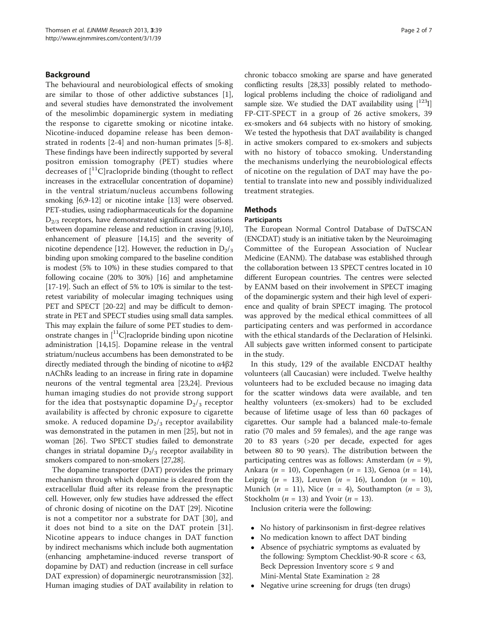## Background

The behavioural and neurobiological effects of smoking are similar to those of other addictive substances [\[1](#page-5-0)], and several studies have demonstrated the involvement of the mesolimbic dopaminergic system in mediating the response to cigarette smoking or nicotine intake. Nicotine-induced dopamine release has been demonstrated in rodents [[2-4\]](#page-5-0) and non-human primates [\[5](#page-5-0)[-8](#page-6-0)]. These findings have been indirectly supported by several positron emission tomography (PET) studies where decreases of  $\binom{11}{c}$  raclopride binding (thought to reflect increases in the extracellular concentration of dopamine) in the ventral striatum/nucleus accumbens following smoking [\[6,9-12](#page-6-0)] or nicotine intake [\[13\]](#page-6-0) were observed. PET-studies, using radiopharmaceuticals for the dopamine  $D<sub>2/3</sub>$  receptors, have demonstrated significant associations between dopamine release and reduction in craving [[9,10](#page-6-0)], enhancement of pleasure [\[14,15\]](#page-6-0) and the severity of nicotine dependence [\[12\]](#page-6-0). However, the reduction in  $D_2/3$ binding upon smoking compared to the baseline condition is modest (5% to 10%) in these studies compared to that following cocaine (20% to 30%) [\[16](#page-6-0)] and amphetamine [[17](#page-6-0)-[19\]](#page-6-0). Such an effect of 5% to 10% is similar to the testretest variability of molecular imaging techniques using PET and SPECT [\[20-22\]](#page-6-0) and may be difficult to demonstrate in PET and SPECT studies using small data samples. This may explain the failure of some PET studies to demonstrate changes in  $\int_1^{11}$ C raclopride binding upon nicotine administration [\[14,15](#page-6-0)]. Dopamine release in the ventral striatum/nucleus accumbens has been demonstrated to be directly mediated through the binding of nicotine to α4β2 nAChRs leading to an increase in firing rate in dopamine neurons of the ventral tegmental area [\[23,24](#page-6-0)]. Previous human imaging studies do not provide strong support for the idea that postsynaptic dopamine  $D_2/3$  receptor availability is affected by chronic exposure to cigarette smoke. A reduced dopamine  $D_2/a$  receptor availability was demonstrated in the putamen in men [\[25\]](#page-6-0), but not in woman [\[26\]](#page-6-0). Two SPECT studies failed to demonstrate changes in striatal dopamine  $D_2/3$  receptor availability in smokers compared to non-smokers [\[27,28](#page-6-0)].

The dopamine transporter (DAT) provides the primary mechanism through which dopamine is cleared from the extracellular fluid after its release from the presynaptic cell. However, only few studies have addressed the effect of chronic dosing of nicotine on the DAT [[29\]](#page-6-0). Nicotine is not a competitor nor a substrate for DAT [[30\]](#page-6-0), and it does not bind to a site on the DAT protein [[31](#page-6-0)]. Nicotine appears to induce changes in DAT function by indirect mechanisms which include both augmentation (enhancing amphetamine-induced reverse transport of dopamine by DAT) and reduction (increase in cell surface DAT expression) of dopaminergic neurotransmission [[32](#page-6-0)]. Human imaging studies of DAT availability in relation to chronic tobacco smoking are sparse and have generated conflicting results [\[28,33\]](#page-6-0) possibly related to methodological problems including the choice of radioligand and sample size. We studied the DAT availability using  $[123]$ FP-CIT-SPECT in a group of 26 active smokers, 39 ex-smokers and 64 subjects with no history of smoking. We tested the hypothesis that DAT availability is changed in active smokers compared to ex-smokers and subjects with no history of tobacco smoking. Understanding the mechanisms underlying the neurobiological effects of nicotine on the regulation of DAT may have the potential to translate into new and possibly individualized treatment strategies.

## Methods

## Participants

The European Normal Control Database of DaTSCAN (ENCDAT) study is an initiative taken by the Neuroimaging Committee of the European Association of Nuclear Medicine (EANM). The database was established through the collaboration between 13 SPECT centres located in 10 different European countries. The centres were selected by EANM based on their involvement in SPECT imaging of the dopaminergic system and their high level of experience and quality of brain SPECT imaging. The protocol was approved by the medical ethical committees of all participating centers and was performed in accordance with the ethical standards of the Declaration of Helsinki. All subjects gave written informed consent to participate in the study.

In this study, 129 of the available ENCDAT healthy volunteers (all Caucasian) were included. Twelve healthy volunteers had to be excluded because no imaging data for the scatter windows data were available, and ten healthy volunteers (ex-smokers) had to be excluded because of lifetime usage of less than 60 packages of cigarettes. Our sample had a balanced male-to-female ratio (70 males and 59 females), and the age range was 20 to 83 years (>20 per decade, expected for ages between 80 to 90 years). The distribution between the participating centres was as follows: Amsterdam ( $n = 9$ ), Ankara (*n* = 10), Copenhagen (*n* = 13), Genoa (*n* = 14), Leipzig ( $n = 13$ ), Leuven ( $n = 16$ ), London ( $n = 10$ ), Munich ( $n = 11$ ), Nice ( $n = 4$ ), Southampton ( $n = 3$ ), Stockholm ( $n = 13$ ) and Yvoir ( $n = 13$ ).

Inclusion criteria were the following:

- No history of parkinsonism in first-degree relatives
- No medication known to affect DAT binding
- Absence of psychiatric symptoms as evaluated by the following: Symptom Checklist-90-R score < 63, Beck Depression Inventory score  $\leq$  9 and Mini-Mental State Examination  $\geq 28$
- Negative urine screening for drugs (ten drugs)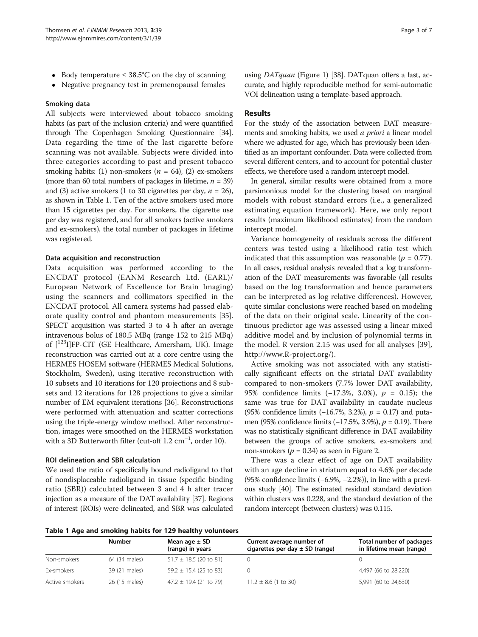- <span id="page-2-0"></span>■ Body temperature  $\leq 38.5^{\circ}$ C on the day of scanning
- Negative pregnancy test in premenopausal females

## Smoking data

All subjects were interviewed about tobacco smoking habits (as part of the inclusion criteria) and were quantified through The Copenhagen Smoking Questionnaire [\[34](#page-6-0)]. Data regarding the time of the last cigarette before scanning was not available. Subjects were divided into three categories according to past and present tobacco smoking habits: (1) non-smokers ( $n = 64$ ), (2) ex-smokers (more than 60 total numbers of packages in lifetime,  $n = 39$ ) and (3) active smokers (1 to 30 cigarettes per day,  $n = 26$ ), as shown in Table 1. Ten of the active smokers used more than 15 cigarettes per day. For smokers, the cigarette use per day was registered, and for all smokers (active smokers and ex-smokers), the total number of packages in lifetime was registered.

## Data acquisition and reconstruction

Data acquisition was performed according to the ENCDAT protocol (EANM Research Ltd. (EARL)/ European Network of Excellence for Brain Imaging) using the scanners and collimators specified in the ENCDAT protocol. All camera systems had passed elaborate quality control and phantom measurements [\[35](#page-6-0)]. SPECT acquisition was started 3 to 4 h after an average intravenous bolus of 180.5 MBq (range 152 to 215 MBq) of  $[123]$ FP-CIT (GE Healthcare, Amersham, UK). Image reconstruction was carried out at a core centre using the HERMES HOSEM software (HERMES Medical Solutions, Stockholm, Sweden), using iterative reconstruction with 10 subsets and 10 iterations for 120 projections and 8 subsets and 12 iterations for 128 projections to give a similar number of EM equivalent iterations [\[36\]](#page-6-0). Reconstructions were performed with attenuation and scatter corrections using the triple-energy window method. After reconstruction, images were smoothed on the HERMES workstation with a 3D Butterworth filter (cut-off  $1.2 \text{ cm}^{-1}$ , order 10).

#### ROI delineation and SBR calculation

We used the ratio of specifically bound radioligand to that of nondisplaceable radioligand in tissue (specific binding ratio (SBR)) calculated between 3 and 4 h after tracer injection as a measure of the DAT availability [\[37\]](#page-6-0). Regions of interest (ROIs) were delineated, and SBR was calculated using *DATquan* (Figure [1](#page-3-0)) [[38](#page-6-0)]. DATquan offers a fast, accurate, and highly reproducible method for semi-automatic VOI delineation using a template-based approach.

## Results

For the study of the association between DAT measurements and smoking habits, we used *a priori* a linear model where we adjusted for age, which has previously been identified as an important confounder. Data were collected from several different centers, and to account for potential cluster effects, we therefore used a random intercept model.

In general, similar results were obtained from a more parsimonious model for the clustering based on marginal models with robust standard errors (i.e., a generalized estimating equation framework). Here, we only report results (maximum likelihood estimates) from the random intercept model.

Variance homogeneity of residuals across the different centers was tested using a likelihood ratio test which indicated that this assumption was reasonable ( $p = 0.77$ ). In all cases, residual analysis revealed that a log transformation of the DAT measurements was favorable (all results based on the log transformation and hence parameters can be interpreted as log relative differences). However, quite similar conclusions were reached based on modeling of the data on their original scale. Linearity of the continuous predictor age was assessed using a linear mixed additive model and by inclusion of polynomial terms in the model. R version 2.15 was used for all analyses [\[39](#page-6-0)], [http://www.R-project.org/\)](http://www.r-project.org/).

Active smoking was not associated with any statistically significant effects on the striatal DAT availability compared to non-smokers (7.7% lower DAT availability, 95% confidence limits (−17.3%, 3.0%), p = 0.15); the same was true for DAT availability in caudate nucleus (95% confidence limits (-16.7%, 3.2%),  $p = 0.17$ ) and putamen (95% confidence limits (−17.5%, 3.9%),  $p = 0.19$ ). There was no statistically significant difference in DAT availability between the groups of active smokers, ex-smokers and non-smokers ( $p = 0.34$ ) as seen in Figure [2](#page-3-0).

There was a clear effect of age on DAT availability with an age decline in striatum equal to 4.6% per decade (95% confidence limits (−6.9%, −2.2%)), in line with a previous study [\[40\]](#page-6-0). The estimated residual standard deviation within clusters was 0.228, and the standard deviation of the random intercept (between clusters) was 0.115.

Table 1 Age and smoking habits for 129 healthy volunteers

|                | <b>Number</b> | Mean age $\pm$ SD<br>(range) in years | Current average number of<br>cigarettes per day $\pm$ SD (range) | Total number of packages<br>in lifetime mean (range) |
|----------------|---------------|---------------------------------------|------------------------------------------------------------------|------------------------------------------------------|
| Non-smokers    | 64 (34 males) | $51.7 \pm 18.5$ (20 to 81)            |                                                                  |                                                      |
| Ex-smokers     | 39 (21 males) | $59.2 \pm 15.4$ (25 to 83)            |                                                                  | 4,497 (66 to 28,220)                                 |
| Active smokers | 26 (15 males) | $47.2 \pm 19.4$ (21 to 79)            | $11.2 \pm 8.6$ (1 to 30)                                         | 5,991 (60 to 24,630)                                 |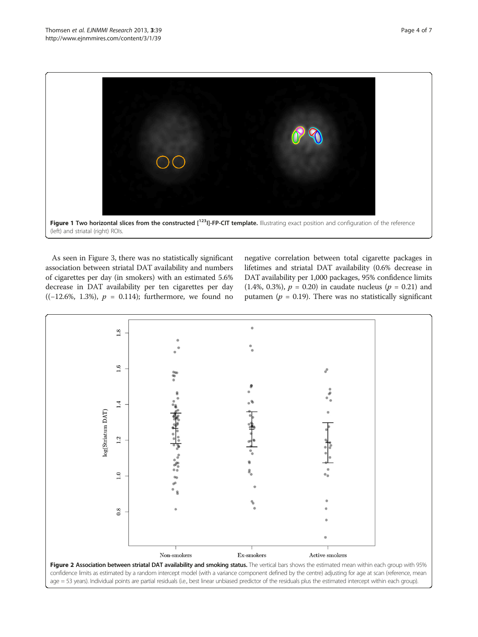<span id="page-3-0"></span>

(left) and striatal (right) ROIs.

As seen in Figure [3](#page-4-0), there was no statistically significant association between striatal DAT availability and numbers of cigarettes per day (in smokers) with an estimated 5.6% decrease in DAT availability per ten cigarettes per day ( $(-12.6\%, 1.3\%)$ ,  $p = 0.114$ ); furthermore, we found no negative correlation between total cigarette packages in lifetimes and striatal DAT availability (0.6% decrease in DAT availability per 1,000 packages, 95% confidence limits  $(1.4\%, 0.3\%), p = 0.20$  in caudate nucleus  $(p = 0.21)$  and putamen ( $p = 0.19$ ). There was no statistically significant

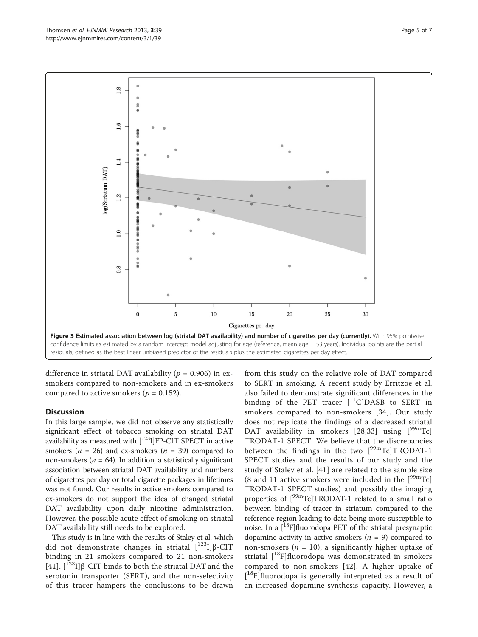difference in striatal DAT availability ( $p = 0.906$ ) in exsmokers compared to non-smokers and in ex-smokers compared to active smokers ( $p = 0.152$ ).

## **Discussion**

In this large sample, we did not observe any statistically significant effect of tobacco smoking on striatal DAT availability as measured with  $[{}^{123}I]FP-CIT SPECT$  in active smokers ( $n = 26$ ) and ex-smokers ( $n = 39$ ) compared to non-smokers ( $n = 64$ ). In addition, a statistically significant association between striatal DAT availability and numbers of cigarettes per day or total cigarette packages in lifetimes was not found. Our results in active smokers compared to ex-smokers do not support the idea of changed striatal DAT availability upon daily nicotine administration. However, the possible acute effect of smoking on striatal DAT availability still needs to be explored.

This study is in line with the results of Staley et al. which did not demonstrate changes in striatal  $[$ <sup>123</sup>I] $\beta$ -CIT binding in 21 smokers compared to 21 non-smokers [[41](#page-6-0)].  $[123]$ β-CIT binds to both the striatal DAT and the serotonin transporter (SERT), and the non-selectivity of this tracer hampers the conclusions to be drawn from this study on the relative role of DAT compared to SERT in smoking. A recent study by Erritzoe et al. also failed to demonstrate significant differences in the binding of the PET tracer  $[$ <sup>11</sup>C $]$ DASB to SERT in smokers compared to non-smokers [[34\]](#page-6-0). Our study does not replicate the findings of a decreased striatal DAT availability in smokers [[28,33](#page-6-0)] using  $[{}^{99m}Tc]$ TRODAT-1 SPECT. We believe that the discrepancies between the findings in the two  $[<sup>99m</sup>Tc]TRODAT-1$ SPECT studies and the results of our study and the study of Staley et al. [[41](#page-6-0)] are related to the sample size (8 and 11 active smokers were included in the  $[<sup>99m</sup>Tc]$ TRODAT-1 SPECT studies) and possibly the imaging properties of  $[{}^{99m}Tc]TRODAT-1$  related to a small ratio between binding of tracer in striatum compared to the reference region leading to data being more susceptible to noise. In a  $[$ <sup>18</sup>F]fluorodopa PET of the striatal presynaptic dopamine activity in active smokers ( $n = 9$ ) compared to non-smokers ( $n = 10$ ), a significantly higher uptake of striatal  $[{}^{18}F]$ fluorodopa was demonstrated in smokers compared to non-smokers [\[42\]](#page-6-0). A higher uptake of [ 18F]fluorodopa is generally interpreted as a result of an increased dopamine synthesis capacity. However, a

<span id="page-4-0"></span>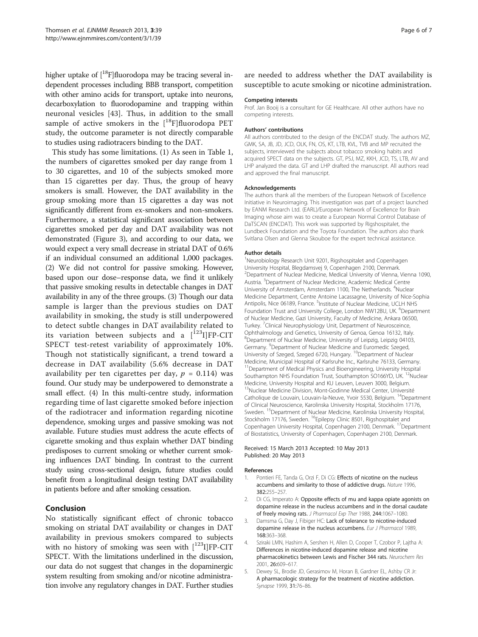<span id="page-5-0"></span>higher uptake of  $\int_{0}^{18}F\left| \frac{f}{f}\right| \frac{f}{f}$  may be tracing several independent processes including BBB transport, competition with other amino acids for transport, uptake into neurons, decarboxylation to fluorodopamine and trapping within neuronal vesicles [\[43](#page-6-0)]. Thus, in addition to the small sample of active smokers in the  $[{}^{18}F]$ fluorodopa PET study, the outcome parameter is not directly comparable to studies using radiotracers binding to the DAT.

This study has some limitations. (1) As seen in Table [1](#page-2-0), the numbers of cigarettes smoked per day range from 1 to 30 cigarettes, and 10 of the subjects smoked more than 15 cigarettes per day. Thus, the group of heavy smokers is small. However, the DAT availability in the group smoking more than 15 cigarettes a day was not significantly different from ex-smokers and non-smokers. Furthermore, a statistical significant association between cigarettes smoked per day and DAT availability was not demonstrated (Figure [3\)](#page-4-0), and according to our data, we would expect a very small decrease in striatal DAT of 0.6% if an individual consumed an additional 1,000 packages. (2) We did not control for passive smoking. However, based upon our dose–response data, we find it unlikely that passive smoking results in detectable changes in DAT availability in any of the three groups. (3) Though our data sample is larger than the previous studies on DAT availability in smoking, the study is still underpowered to detect subtle changes in DAT availability related to its variation between subjects and a  $\left[ {}^{123}I\right]$ FP-CIT SPECT test-retest variability of approximately 10%. Though not statistically significant, a trend toward a decrease in DAT availability (5.6% decrease in DAT availability per ten cigarettes per day,  $p = 0.114$ ) was found. Our study may be underpowered to demonstrate a small effect. (4) In this multi-centre study, information regarding time of last cigarette smoked before injection of the radiotracer and information regarding nicotine dependence, smoking urges and passive smoking was not available. Future studies must address the acute effects of cigarette smoking and thus explain whether DAT binding predisposes to current smoking or whether current smoking influences DAT binding. In contrast to the current study using cross-sectional design, future studies could benefit from a longitudinal design testing DAT availability in patients before and after smoking cessation.

## Conclusion

No statistically significant effect of chronic tobacco smoking on striatal DAT availability or changes in DAT availability in previous smokers compared to subjects with no history of smoking was seen with  $\rm [^{123}I]FP-CIT$ SPECT. With the limitations underlined in the discussion, our data do not suggest that changes in the dopaminergic system resulting from smoking and/or nicotine administration involve any regulatory changes in DAT. Further studies

are needed to address whether the DAT availability is susceptible to acute smoking or nicotine administration.

#### Competing interests

Prof. Jan Booij is a consultant for GE Healthcare. All other authors have no competing interests.

#### Authors' contributions

All authors contributed to the design of the ENCDAT study. The authors MZ, GMK, SA, JB, JD, JCD, OLK, FN, OS, KT, LTB, KVL, TVB and MP recruited the subjects, interviewed the subjects about tobacco smoking habits and acquired SPECT data on the subjects. GT, PSJ, MZ, KKH, JCD, TS, LTB, AV and LHP analyzed the data. GT and LHP drafted the manuscript. All authors read and approved the final manuscript.

#### Acknowledgements

The authors thank all the members of the European Network of Excellence Initiative in Neuroimaging. This investigation was part of a project launched by EANM Research Ltd. (EARL)/European Network of Excellence for Brain Imaging whose aim was to create a European Normal Control Database of DaTSCAN (ENCDAT). This work was supported by Rigshospitalet, the Lundbeck Foundation and the Toyota Foundation. The authors also thank Svitlana Olsen and Glenna Skouboe for the expert technical assistance.

#### Author details

<sup>1</sup>Neurobiology Research Unit 9201, Rigshospitalet and Copenhagen University Hospital, Blegdamsvej 9, Copenhagen 2100, Denmark. <sup>2</sup> Department of Nuclear Medicine, Medical University of Vienna, Vienna 1090 Austria. <sup>3</sup>Department of Nuclear Medicine, Academic Medical Centre University of Amsterdam, Amsterdam 1100, The Netherlands. <sup>4</sup>Nuclear Medicine Department, Centre Antoine Lacassagne, University of Nice-Sophia Antipolis, Nice 06189, France. <sup>5</sup>Institute of Nuclear Medicine, UCLH NHS Foundation Trust and University College, London NW12BU, UK. <sup>6</sup>Department of Nuclear Medicine, Gazi University, Faculty of Medicine, Ankara 06500, Turkey. <sup>7</sup>Clinical Neurophysiology Unit, Department of Neurosceince Ophthalmology and Genetics, University of Genoa, Genoa 16132, Italy. 8 Department of Nuclear Medicine, University of Leipzig, Leipzig 04103, Germany. <sup>9</sup>Department of Nuclear Medicine and Euromedic Szeged University of Szeged, Szeged 6720, Hungary. <sup>10</sup>Department of Nuclear Medicine, Municipal Hospital of Karlsruhe Inc., Karlsruhe 76133, Germany. <sup>11</sup>Department of Medical Physics and Bioengineering, University Hospital Southampton NHS Foundation Trust, Southampton SO166YD, UK.<sup>12</sup>Nuclear Medicine, University Hospital and KU Leuven, Leuven 3000, Belgium. <sup>13</sup>Nuclear Medicine Division, Mont-Godinne Medical Center, Université Catholique de Louvain, Louvain-la-Neuve, Yvoir 5530, Belgium. 14Department of Clinical Neuroscience, Karolinska University Hospital, Stockholm 17176, Sweden. <sup>15</sup>Department of Nuclear Medicine, Karolinska University Hospital, Stockholm 17176, Sweden. <sup>16</sup>Epilepsy Clinic 8501, Rigshospitalet and Copenhagen University Hospital, Copenhagen 2100, Denmark. 17Department of Biostatistics, University of Copenhagen, Copenhagen 2100, Denmark.

#### Received: 15 March 2013 Accepted: 10 May 2013 Published: 20 May 2013

#### References

- 1. Pontieri FE, Tanda G, Orzi F, Di CG: Effects of nicotine on the nucleus accumbens and similarity to those of addictive drugs. Nature 1996, 382:255–257.
- 2. Di CG, Imperato A: Opposite effects of mu and kappa opiate agonists on dopamine release in the nucleus accumbens and in the dorsal caudate of freely moving rats. J Pharmacol Exp Ther 1988, 244:1067–1080.
- 3. Damsma G, Day J, Fibiger HC: Lack of tolerance to nicotine-induced dopamine release in the nucleus accumbens. Eur J Pharmacol 1989, 168:363–368.
- Sziraki LMN, Hashim A, Sershen H, Allen D, Cooper T, Czobor P, Lajtha A: Differences in nicotine-induced dopamine release and nicotine pharmacokinetics between Lewis and Fischer 344 rats. Neurochem Res 2001, 26:609–617.
- 5. Dewey SL, Brodie JD, Gerasimov M, Horan B, Gardner EL, Ashby CR Jr: A pharmacologic strategy for the treatment of nicotine addiction. Synapse 1999, 31:76–86.